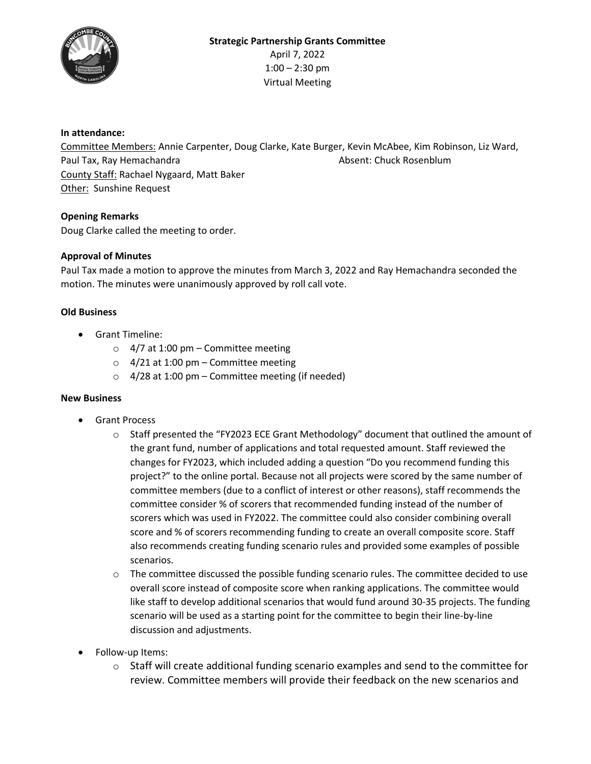

# **In attendance:**

Committee Members: Annie Carpenter, Doug Clarke, Kate Burger, Kevin McAbee, Kim Robinson, Liz Ward, Paul Tax, Ray Hemachandra Absent: Chuck Rosenblum County Staff: Rachael Nygaard, Matt Baker Other: Sunshine Request

# **Opening Remarks**

Doug Clarke called the meeting to order.

## **Approval of Minutes**

Paul Tax made a motion to approve the minutes from March 3, 2022 and Ray Hemachandra seconded the motion. The minutes were unanimously approved by roll call vote.

# **Old Business**

- Grant Timeline:
	- $\circ$  4/7 at 1:00 pm Committee meeting
	- $\circ$  4/21 at 1:00 pm Committee meeting
	- $\circ$  4/28 at 1:00 pm Committee meeting (if needed)

## **New Business**

- Grant Process
	- o Staff presented the "FY2023 ECE Grant Methodology" document that outlined the amount of the grant fund, number of applications and total requested amount. Staff reviewed the changes for FY2023, which included adding a question "Do you recommend funding this project?" to the online portal. Because not all projects were scored by the same number of committee members (due to a conflict of interest or other reasons), staff recommends the committee consider % of scorers that recommended funding instead of the number of scorers which was used in FY2022. The committee could also consider combining overall score and % of scorers recommending funding to create an overall composite score. Staff also recommends creating funding scenario rules and provided some examples of possible scenarios.
	- $\circ$  The committee discussed the possible funding scenario rules. The committee decided to use overall score instead of composite score when ranking applications. The committee would like staff to develop additional scenarios that would fund around 30-35 projects. The funding scenario will be used as a starting point for the committee to begin their line-by-line discussion and adjustments.
- Follow-up Items:
	- $\circ$  Staff will create additional funding scenario examples and send to the committee for review. Committee members will provide their feedback on the new scenarios and